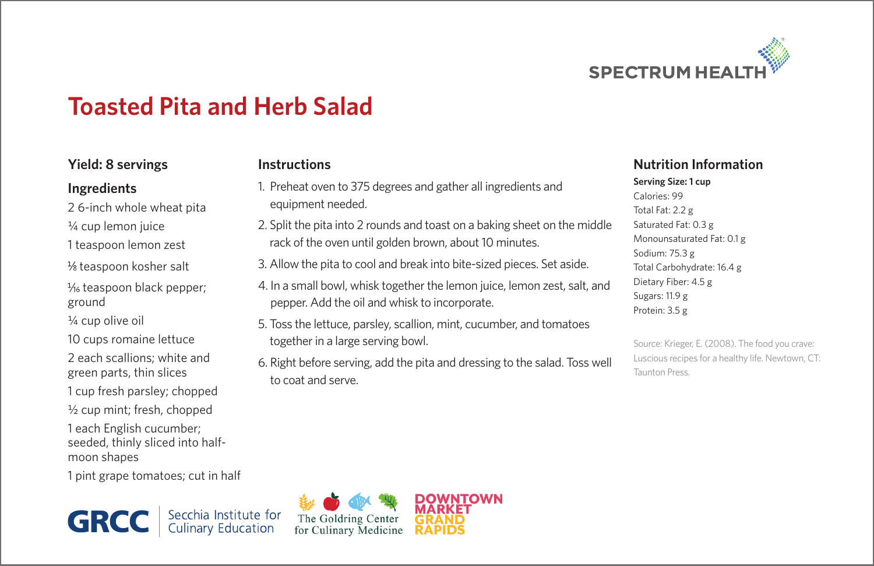

## **Toasted Pita and Herb Salad**

#### **Yield: 8 servings**

#### **Ingredients**

- 2 6-inch whole wheat pita
- ¼ cup lemon juice
- 1 teaspoon lemon zest
- 1/8 teaspoon kosher salt
- 1/<sub>6</sub> teaspoon black pepper; ground
- $\frac{1}{4}$  cup olive oil
- 10 cups romaine lettuce
- 2 each scallions; white and green parts, thin slices
- 1 cup fresh parsley; chopped
- ½ cup mint; fresh, chopped
- 1 each English cucumber; seeded, thinly sliced into halfmoon shapes
- 1 pint grape tomatoes; cut in half

**GRCC** Secchia Institute for<br>Culinary Education

#### **Instructions**

- 1. Preheat oven to 375 degrees and gather all ingredients and equipment needed.
- 2. Split the pita into 2 rounds and toast on a baking sheet on the middle rack of the oven until golden brown, about 10 minutes.
- 3. Allow the pita to cool and break into bite-sized pieces. Set aside.
- 4. In a small bowl, whisk together the lemon juice, lemon zest, salt, and pepper. Add the oil and whisk to incorporate.
- 5. Toss the lettuce, parsley, scallion, mint, cucumber, and tomatoes together in a large serving bowl.
- 6. Right before serving, add the pita and dressing to the salad. Toss well to coat and serve.

#### **Nutrition Information**

**Serving Size: 1 cup** Calories: 99 Total Fat: 2.2 g Saturated Fat: 0.3 g Monounsaturated Fat: 0.1 g Sodium: 75.3 g Total Carbohydrate: 16.4 g Dietary Fiber: 4.5 g Sugars: 11.9 g Protein: 3.5 g

Source: Krieger, E. (2008). The food you crave: Luscious recipes for a healthy life. Newtown, CT: Taunton Press.